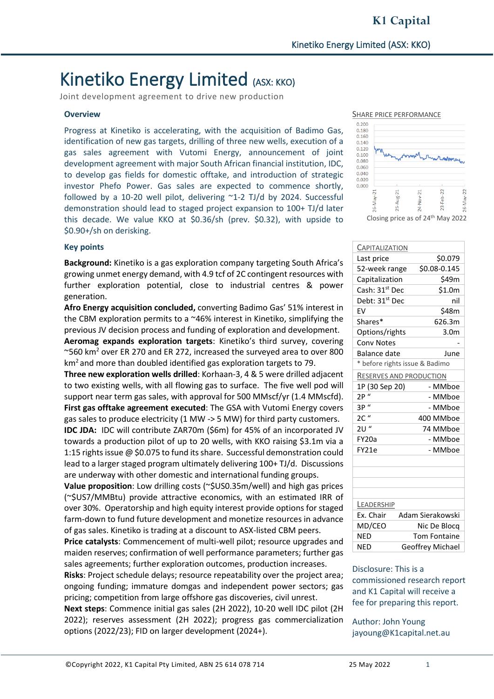Joint development agreement to drive new production

#### **Overview**

Progress at Kinetiko is accelerating, with the acquisition of Badimo Gas, identification of new gas targets, drilling of three new wells, execution of a gas sales agreement with Vutomi Energy, announcement of joint development agreement with major South African financial institution, IDC, to develop gas fields for domestic offtake, and introduction of strategic investor Phefo Power. Gas sales are expected to commence shortly, followed by a 10-20 well pilot, delivering ~1-2 TJ/d by 2024. Successful demonstration should lead to staged project expansion to 100+ TJ/d later this decade. We value KKO at \$0.36/sh (prev. \$0.32), with upside to \$0.90+/sh on derisking.



**Background:** Kinetiko is a gas exploration company targeting South Africa's growing unmet energy demand, with 4.9 tcf of 2C contingent resources with further exploration potential, close to industrial centres & power generation.

**Afro Energy acquisition concluded,** converting Badimo Gas' 51% interest in the CBM exploration permits to a ~46% interest in Kinetiko, simplifying the previous JV decision process and funding of exploration and development. **Aeromag expands exploration targets**: Kinetiko's third survey, covering

 $\sim$ 560 km<sup>2</sup> over ER 270 and ER 272, increased the surveyed area to over 800  $km<sup>2</sup>$  and more than doubled identified gas exploration targets to 79.

**Three new exploration wells drilled**: Korhaan-3, 4 & 5 were drilled adjacent to two existing wells, with all flowing gas to surface. The five well pod will support near term gas sales, with approval for 500 MMscf/yr (1.4 MMscfd). **First gas offtake agreement executed**: The GSA with Vutomi Energy covers gas sales to produce electricity (1 MW -> 5 MW) for third party customers. **IDC JDA:** IDC will contribute ZAR70m (\$6m) for 45% of an incorporated JV towards a production pilot of up to 20 wells, with KKO raising \$3.1m via a 1:15 rights issue @ \$0.075 to fund its share. Successful demonstration could lead to a larger staged program ultimately delivering 100+ TJ/d. Discussions are underway with other domestic and international funding groups.

**Value proposition**: Low drilling costs (~\$US0.35m/well) and high gas prices (~\$US7/MMBtu) provide attractive economics, with an estimated IRR of over 30%. Operatorship and high equity interest provide options for staged farm-down to fund future development and monetize resources in advance of gas sales. Kinetiko is trading at a discount to ASX-listed CBM peers.

**Price catalysts**: Commencement of multi-well pilot; resource upgrades and maiden reserves; confirmation of well performance parameters; further gas sales agreements; further exploration outcomes, production increases.

**Risks**: Project schedule delays; resource repeatability over the project area; ongoing funding; immature domgas and independent power sectors; gas pricing; competition from large offshore gas discoveries, civil unrest.

**Next steps**: Commence initial gas sales (2H 2022), 10-20 well IDC pilot (2H 2022); reserves assessment (2H 2022); progress gas commercialization options (2022/23); FID on larger development (2024+).



| <b>CAPITALIZATION</b>          |                         |
|--------------------------------|-------------------------|
| Last price                     | \$0.079                 |
| 52-week range                  | \$0.08-0.145            |
| Capitalization                 | \$49m                   |
| Cash: 31 <sup>st</sup> Dec     | \$1.0m                  |
| Debt: 31 <sup>st</sup> Dec     | nil                     |
| EV                             | \$48m                   |
| Shares*                        | 626.3m                  |
| Options/rights                 | 3.0 <sub>m</sub>        |
| <b>Conv Notes</b>              |                         |
| <b>Balance date</b>            | June                    |
| * before rights issue & Badimo |                         |
| <b>RESERVES AND PRODUCTION</b> |                         |
| 1P (30 Sep 20)                 | - MMboe                 |
| $\iota$<br>2P                  | - MMboe                 |
| 3P "                           | - MMboe                 |
| $2C$ "                         | 400 MMboe               |
| 2U"                            | 74 MMboe                |
| FY20a                          | - MMboe                 |
| FY21e                          | - MMboe                 |
|                                |                         |
|                                |                         |
|                                |                         |
|                                |                         |
| LEADERSHIP                     |                         |
| Ex. Chair                      | Adam Sierakowski        |
| MD/CEO                         | Nic De Blocg            |
| <b>NED</b>                     | <b>Tom Fontaine</b>     |
| <b>NED</b>                     | <b>Geoffrey Michael</b> |

#### Disclosure: This is a

commissioned research report and K1 Capital will receive a fee for preparing this report.

Author: John Young jayoung@K1capital.net.au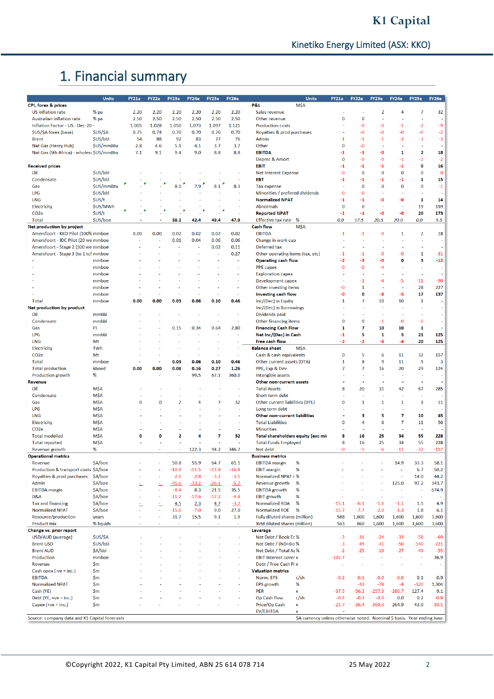# 1. Financial summary

|                                               | <b>Units</b> | <b>FY21a</b> | FY22e          | FY23e          | <b>FY24e</b> | FY25e                    | <b>FY26e</b>             | <b>Units</b>                                                             | <b>FY21a</b> | FY22e          | FY23e                    | <b>FY24e</b>   | FY25e          | <b>FY26e</b>             |
|-----------------------------------------------|--------------|--------------|----------------|----------------|--------------|--------------------------|--------------------------|--------------------------------------------------------------------------|--------------|----------------|--------------------------|----------------|----------------|--------------------------|
| CPI, forex & prices                           |              |              |                |                |              |                          |                          | <b>P&amp;L</b><br><b>MŚA</b>                                             |              |                |                          |                |                |                          |
| <b>US</b> inflation rate                      |              | 2.20         | 2.20           | 2.20           | 2.20         | 2.20                     | 2.20                     | Sales revenue                                                            |              |                | $\overline{2}$           | 4              | $\overline{7}$ | 32                       |
|                                               | % pa         |              |                |                |              |                          |                          |                                                                          |              |                |                          |                |                |                          |
| Australian inflation rate                     | % pa         | 2.50         | 2.50           | 2.50           | 2.50         | 2.50                     | 2.50                     | Other revenue                                                            | $\mathbf 0$  | $\bf{0}$       | ÷,                       |                | ×              |                          |
| Inflation Factor - US : Dec-20 -              |              | 1.005        | 1.028          | 1.050          | 1.073        | 1.097                    | 1.121                    | <b>Production costs</b>                                                  |              | -0             | -0                       | $-1$           | -2             | -9                       |
| \$US/\$A forex (base)                         | \$US/\$A     | 0.75         | 0.74           | 0.70           | 0.70         | 0.70                     | 0.70                     | Royalties & prod purchases                                               |              | -0             | $-0$                     | $-0$           | -0             | $-2$                     |
| <b>Brent</b>                                  | \$US/bbl     | 54           | 88             | 92             | 83           | 77                       | 76                       | Admin                                                                    | -1           | $-1$           | -1                       | $-2$           | -3             | $-3$                     |
| Nat Gas (Henry Hub)                           | \$US/mmBtu   | 2.8          | 4.6            | 5.1            | 4.1          | 3.7                      | 3.7                      | Other                                                                    | $\mathbf 0$  | $-0$           |                          |                |                | J.                       |
| Nat Gas (Sth Africa) - wholesa \$US/mmBtu     |              | 7.1          | 9.1            | 9.4            | 9.0          | 8.8                      | 8.8                      | <b>EBITDA</b>                                                            | -1           | -1             | -0                       | 1              | 2              | 18                       |
|                                               |              |              |                |                |              |                          |                          | Deprec & Amort                                                           | 0            | -0             | -0                       | $-1$           | -2             | $-2$                     |
| <b>Received prices</b>                        |              |              |                |                |              |                          |                          | <b>EBIT</b>                                                              | -1           | -1             | -1                       | -1             | $\mathbf 0$    | 16                       |
| Oil                                           | \$US/bbl     |              |                |                |              |                          |                          | <b>Net Interest Expense</b>                                              | -0           | $\bf{0}$       | 0                        | $\overline{0}$ | $\bf{0}$       | $-0$                     |
| Condensate                                    | \$US/bbl     |              |                |                |              |                          |                          | <b>EBT</b>                                                               | -1           | -1             | -1                       | -1             | 1              | 15                       |
| Gas                                           | \$US/mmBtu   |              |                | 8.0            | 7.9          | 8.1                      | 8.3                      |                                                                          |              | $\bf{0}$       | $\bf{0}$                 | $\bf{0}$       | $\bf{0}$       | $-1$                     |
|                                               |              |              |                |                |              |                          |                          | <b>Tax expense</b>                                                       |              |                |                          |                |                |                          |
| LPG                                           | \$US/bbl     |              |                |                |              |                          |                          | Minorities / prefered dividends                                          | -0           | -0             |                          |                |                |                          |
| <b>LNG</b>                                    | \$US/t       |              |                |                |              |                          |                          | <b>Normalized NPAT</b>                                                   | -1           | -1             | -0                       | -0             | 1              | 14                       |
| Electricity                                   | \$US/MWh     |              |                |                |              |                          |                          | <b>Abnormals</b>                                                         | $\mathbf 0$  | $\bf{0}$       |                          |                | 19             | 159                      |
| CO <sub>2</sub> e                             | \$US/t       |              |                |                |              |                          |                          | <b>Reported NPAT</b>                                                     | $-1$         | $-1$           | -0                       | -0             | 20             | 173                      |
| Total                                         | \$US/boe     |              | $\blacksquare$ | 38.1           | 42.4         | 49.4                     | 47.9                     | <b>Effective tax rate</b><br>%                                           | 0.0          | 17.5           | 20.5                     | 20.0           | 0.0            | 9.5                      |
| Net production by project                     |              |              |                |                |              |                          |                          | <b>Cash flow</b><br><b>MŚA</b>                                           |              |                |                          |                |                |                          |
| Amersfoort - KKO Pilot (100% mmboe            |              | 0.00         | 0.00           | 0.02           | 0.02         | 0.02                     | 0.02                     | <b>EBITDA</b>                                                            | $-1$         | -1             | -0                       | 1              | $\overline{2}$ | 18                       |
| Amersfoort - IDC Pilot (20 we mmboe           |              |              |                | 0.01           | 0.04         | 0.06                     | 0.06                     | Change in work cap                                                       |              |                |                          |                |                | ×,                       |
| Amersfoort - Stage 2 (300 we mmboe            |              |              |                |                |              |                          |                          |                                                                          |              |                |                          |                |                | ÷.                       |
|                                               |              |              |                |                |              | 0.02                     | 0.11                     | Deferred tax                                                             |              |                |                          |                |                |                          |
| Amersfoort - Stage 3 (to 1 tcf mmboe          |              |              |                |                |              | $\overline{\phantom{a}}$ | 0.27                     | Other operating items (tax, etc)                                         | -1           | -1             | -0                       | -0             | $\mathbf{1}$   | $-31$                    |
|                                               | mmboe        |              |                |                |              |                          |                          | <b>Operating cash flow</b>                                               | -2           | -3             | -0                       | o              | 3              | $-12$                    |
|                                               | mmboe        |              |                |                |              |                          |                          | <b>PPE</b> capex                                                         | -0           | -0             | -4                       |                |                | $\sim$                   |
|                                               | mmboe        |              |                |                |              |                          |                          | <b>Exploration capex</b>                                                 |              |                |                          |                |                | ÷                        |
|                                               | mmboe        |              |                |                |              |                          |                          | Development capex                                                        |              | -1             | -4                       | -5             | $-11$          | $-90$                    |
|                                               | mmboe        |              |                |                |              |                          |                          | Other investing items                                                    | -0           | 1              |                          |                | 28             | 227                      |
|                                               | mmboe        |              |                |                |              | ÷                        |                          | Investing cash flow                                                      | -0           | 0              | -8                       | -5             | 17             | 137                      |
|                                               |              |              |                |                | 0.06         |                          | 0.46                     |                                                                          | 1            | 7              | 10                       | 10             | $\mathbf{1}$   | J,                       |
| Total                                         | mmboe        | 0.00         | 0.00           | 0.03           |              | 0.10                     |                          | Inc/(Dec) in Equity                                                      |              |                |                          |                |                |                          |
| Net production by product                     |              |              |                |                |              |                          |                          | Inc/(Dec) in Borrowings                                                  |              |                |                          |                |                |                          |
| Oil                                           | mmbbl        |              |                |                |              | ÷                        |                          | Dividends paid                                                           |              | $\mathbf{r}$   | ÷                        |                | ÷              | ÷.                       |
| Condensate                                    | mmbbl        |              |                |                |              |                          |                          | Other financing items                                                    | 0            | $\bf{0}$       | $-1$                     | -0             | -0             | $\overline{\phantom{a}}$ |
| Gas                                           | PJ           |              |                | 0.15           | 0.34         | 0.64                     | 2.80                     | <b>Financing Cash Flow</b>                                               | 1            | 7              | 10                       | 10             | 1              | $\blacksquare$           |
| <b>LPG</b>                                    | mmbbl        |              |                |                |              |                          |                          | Net Inc/(Dec) in Cash                                                    | -1           | 5              | 1                        | 5              | 21             | 125                      |
| <b>LNG</b>                                    | Mt           |              |                |                |              |                          |                          | <b>Free cash flow</b>                                                    | -2           | -2             | -8                       | -4             | 20             | 125                      |
| Electricity                                   | TWh          |              |                |                |              |                          |                          | <b>Balance sheet</b><br><b>MŚA</b>                                       |              |                |                          |                |                |                          |
|                                               |              |              |                |                |              |                          |                          |                                                                          |              |                |                          |                |                |                          |
| CO <sub>2</sub> e                             | Mt           |              |                |                |              |                          |                          | Cash & cash equivalents                                                  | $\mathbf 0$  | 5              | 6                        | 11             | 32             | 157                      |
| <b>Total</b>                                  | mmboe        |              |                | 0.03           | 0.06         | 0.10                     | 0.46                     | Other current assets (DTA)                                               | 1            | 8              | 9                        | 11             | 5              | 3                        |
| <b>Total production</b>                       | kboed        | 0.00         | 0.00           | 0.08           | 0.16         | 0.27                     | 1.26                     | PPE, Exp & Dev                                                           | 7            | $\overline{7}$ | 16                       | 20             | 29             | 124                      |
| Production growth                             | %            |              |                |                | 99.5         | 67.1                     | 360.0                    | Intangible assets                                                        |              |                |                          |                |                |                          |
| Revenue                                       |              |              |                |                |              |                          |                          | Other non-current assets                                                 |              | $\blacksquare$ | $\overline{\phantom{a}}$ |                | ٠.             | $\sim$                   |
| Oil                                           | <b>M\$A</b>  |              |                |                |              |                          |                          | <b>Total Assets</b>                                                      | 8            | 20             | 31                       | 42             | 67             | 285                      |
| Condensate                                    | <b>M\$A</b>  |              |                |                |              |                          | ÷                        | Short term debt                                                          |              |                | ä,                       |                |                |                          |
| Gas                                           | <b>M\$A</b>  | 0            | 0              | $\overline{2}$ | 4            | 7                        | 32                       | Other current liabilities (DTL)                                          | 0            | $\mathbf{1}$   | 1                        | 1              | $\mathbf{1}$   | 11                       |
|                                               |              |              |                |                |              |                          |                          |                                                                          |              | $\overline{a}$ |                          |                |                |                          |
| LPG                                           | <b>M\$A</b>  |              |                |                |              |                          |                          | Long term debt                                                           |              |                |                          |                | ÷              |                          |
| <b>LNG</b>                                    | M\$A         |              |                |                |              |                          |                          | Other non-current liabilities                                            |              | з              | 5                        | 7              | 10             | 45                       |
| Electricity                                   | <b>M\$A</b>  |              |                |                |              |                          |                          | <b>Total Liabilities</b>                                                 | $\mathbf 0$  | 4              | 6                        | $\overline{7}$ | 11             | 56                       |
| CO <sub>2</sub> e                             | <b>M\$A</b>  |              |                |                |              |                          | $\overline{\phantom{a}}$ | <b>Minorities</b>                                                        |              | <b>A</b>       |                          |                | ÷.             |                          |
| <b>Total modelled</b>                         | <b>M\$A</b>  | 0            | 0              | $\overline{2}$ | 4            | $\overline{7}$           | 32                       | Total shareholders equity (exc mir                                       | 8            | 16             | 25                       | 34             | 55             | 228                      |
| <b>Total reported</b>                         | <b>M\$A</b>  |              |                |                |              |                          |                          | <b>Total Funds Employed</b>                                              | 8            | 16             | 25                       | 34             | 55             | 228                      |
| Revenue growth                                | %            |              |                |                | 122.3        | 94.2                     | 346.7                    | Net debt                                                                 | -0           | -5             | -6                       | $-11$          | $-32$          | $-157$                   |
| <b>Operational metrics</b>                    |              |              |                |                |              |                          |                          | <b>Business metrics</b>                                                  |              |                |                          |                |                |                          |
| Revenue                                       | \$A/boe      |              |                | 50.8           | 55.9         | 64.7                     | 61.1                     | <b>EBITDA</b> margin<br>%                                                |              |                |                          | 14.9           | 33.3           | 58.1                     |
| Production & transport costs \$A/boe          |              |              |                | $-10.9$        | $-11.5$      | $-13.9$                  | $-16.9$                  | %<br><b>EBIT</b> margin                                                  |              |                |                          |                | 6.7            | 50.2                     |
|                                               |              |              |                |                | $-2.8$       | $-3.2$                   |                          |                                                                          |              |                |                          |                |                |                          |
| Royalties & prod purchases                    | \$A/boe      |              |                | $-2.6$         |              |                          | $-3.1$                   | Normalized NPAT r %                                                      |              |                |                          |                | 14.0           | 44.2                     |
| Admin                                         | \$A/boe      | Ļ,           | Ė,             | $-45.6$        | $-33.2$      | $-26.1$                  | $-5.7$                   | Revenue growth<br>%                                                      |              |                |                          | 125.0          | 97.2           | 343.7                    |
| <b>EBITDA</b> margin                          | \$A/boe      |              |                | $-8.4$         | 8.3          | 21.5                     | 35.5                     | %<br><b>EBITDA</b> growth                                                |              |                |                          | ä,             | ä,             | 674.9                    |
| D&A                                           | \$A/boe      |              |                | $-11.7$        | $-17.6$      | $-17.2$                  | $-4.8$                   | %<br><b>EBIT growth</b>                                                  | ł,           | ÷              |                          | ÷              | ÷,             |                          |
| <b>Tax and financing</b>                      | \$A/boe      | ÷,           | Ξ.             | 4.5            | 2.3          | 4.7                      | $-3.7$                   | <b>Normalized ROA</b><br>%                                               | $-15.1$      | $-6.1$         | $-1.6$                   | $-1.1$         | 1.5            | 4.9                      |
| <b>Normalized NPAT</b>                        | \$A/boe      | ÷.           | ÷              | $-15.6$        | $-7.0$       | 9.0                      | 27.0                     | <b>Normalized ROE</b><br>%                                               | $-15.7$      | $-7.7$         | $-2.0$                   | $-1.3$         | 1.8            | 6.1                      |
| Resource/production                           | years        |              |                | 31.7           | 15.5         | 9.1                      | 1.9                      | <b>Fully diluted shares (million)</b>                                    | 588          | 1,600          | 1,600                    | 1,600          | 1,600          | 1,600                    |
| Product mix                                   | % liquids    | ä,           |                | ÷              | ٠            | ×                        | ×.                       | Wtd diluted shares (million)                                             | 563          | 860            | 1,600                    | 1,600          | 1,600          | 1,600                    |
| Change vs. prior report                       |              |              |                |                |              |                          |                          | Leverage                                                                 |              |                |                          |                |                |                          |
|                                               |              |              |                |                |              |                          |                          |                                                                          |              |                |                          |                |                |                          |
| USD/AUD (average)                             | \$US/\$A     |              |                |                |              |                          |                          | Net Debt / Book Ec%                                                      | $-3$         | $-31$          | $-24$                    | $-33$          | $-58$          | $-69$                    |
| <b>Brent USD</b>                              | \$US/bbl     |              |                |                |              |                          |                          | Net Debt / (ND+Bo %                                                      | $-3$         | $-45$          | $-31$                    | $-50$          | $-140$         | $-221$                   |
| <b>Brent AUD</b>                              | \$A/bbl      |              |                |                |              |                          |                          | Net Debt / Total As %                                                    | $-2$         | $-25$          | $-19$                    | $-27$          | $-49$          | $-55$                    |
| Production                                    | mmboe        |              |                |                |              |                          |                          | <b>EBIT Interest cover x</b>                                             | $-102.7$     | ÷,             | <b>A</b>                 | ä,             | ÷,             | 36.9                     |
| Revenue                                       | \$m          |              |                |                |              |                          |                          | Debt / Free Cash Fl x                                                    | ÷            | ÷              |                          |                | ÷              | ÷                        |
| Cash opex $(-ve = inc.)$                      | \$m          |              |                |                |              |                          |                          | <b>Valuation metrics</b>                                                 |              |                |                          |                |                |                          |
| <b>EBITDA</b>                                 | \$m          |              |                |                |              |                          |                          | Norm. EPS<br>c/sh                                                        | $-0.2$       | $-0.1$         | $-0.0$                   | $-0.0$         | 0.1            | 0.9                      |
| <b>Normalized NPAT</b>                        | \$m          |              |                |                |              |                          |                          | %<br><b>EPS</b> growth                                                   |              | $-33$          | $-78$                    | -8             | $-320$         | 1,304                    |
| Cash (YE)                                     | \$m          |              |                |                |              |                          |                          | <b>PER</b>                                                               | $-37.5$      | $-56.2$        | $-257.3$                 | $-280.7$       | 127.4          | 9.1                      |
|                                               |              |              |                |                |              |                          |                          | x                                                                        |              |                |                          |                |                |                          |
| Debt (YE, + $ve = inc.$ )                     | \$m          |              |                |                |              |                          |                          | Op Cash flow<br>c/sh                                                     | $-0.4$       | $-0.3$         | $-0.0$                   | 0.0            | 0.2            | $-0.8$                   |
| Capex $(+ve = inc.)$                          | \$m          |              |                |                |              |                          |                          | Price/Op Cash<br>x                                                       | $-21.7$      | $-26.4$        | $-360.3$                 | 264.9          | 43.0           | $-10.1$                  |
|                                               |              |              |                |                |              |                          |                          | EV/EBITDA<br>x                                                           |              |                |                          |                |                |                          |
| Source: company data and K1 Capital forecasts |              |              |                |                |              |                          |                          | \$A currency unless otherwise noted. Nominal \$ basis. Year ending June. |              |                |                          |                |                |                          |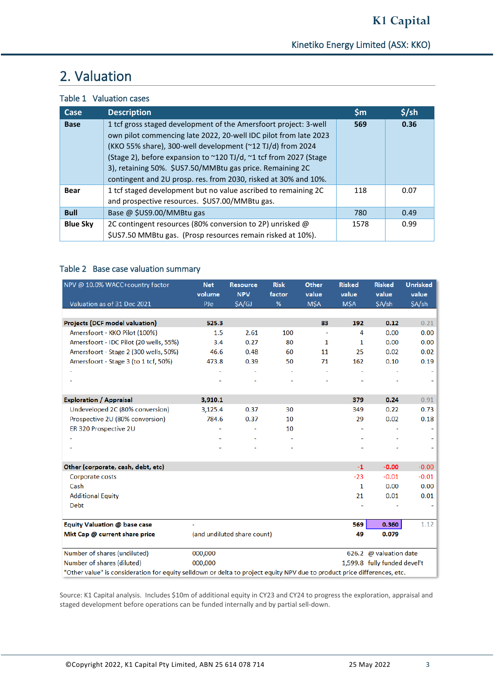# 2. Valuation

### Table 1 Valuation cases

| Case            | <b>Description</b>                                                                                                             | $\mathsf{Sm}$ | $$$ /sh |
|-----------------|--------------------------------------------------------------------------------------------------------------------------------|---------------|---------|
| <b>Base</b>     | 1 tcf gross staged development of the Amersfoort project: 3-well                                                               | 569           | 0.36    |
|                 | own pilot commencing late 2022, 20-well IDC pilot from late 2023<br>(KKO 55% share), 300-well development (~12 TJ/d) from 2024 |               |         |
|                 | (Stage 2), before expansion to ~120 TJ/d, ~1 tcf from 2027 (Stage                                                              |               |         |
|                 | 3), retaining 50%. \$US7.50/MMBtu gas price. Remaining 2C                                                                      |               |         |
|                 | contingent and 2U prosp. res. from 2030, risked at 30% and 10%.                                                                |               |         |
| <b>Bear</b>     | 1 tcf staged development but no value ascribed to remaining 2C                                                                 | 118           | 0.07    |
|                 | and prospective resources. \$US7.00/MMBtu gas.                                                                                 |               |         |
| <b>Bull</b>     | Base @ \$US9.00/MMBtu gas                                                                                                      | 780           | 0.49    |
| <b>Blue Sky</b> | 2C contingent resources (80% conversion to 2P) unrisked @                                                                      | 1578          | 0.99    |
|                 | \$US7.50 MMBtu gas. (Prosp resources remain risked at 10%).                                                                    |               |         |

### Table 2 Base case valuation summary

| NPV @ 10.0% WACC+country factor                                                                                          | <b>Net</b><br>volume | <b>Resource</b><br><b>NPV</b> | <b>Risk</b><br>factor | Other<br>value | <b>Risked</b><br>value | <b>Risked</b><br>value       | <b>Unrisked</b><br>value |
|--------------------------------------------------------------------------------------------------------------------------|----------------------|-------------------------------|-----------------------|----------------|------------------------|------------------------------|--------------------------|
| Valuation as of 31 Dec 2021                                                                                              | PJe                  | <b>SA/GJ</b>                  | %                     | <b>MŚA</b>     | <b>MŚA</b>             | \$A/sh                       | $SA/\sh$                 |
|                                                                                                                          |                      |                               |                       |                |                        |                              |                          |
| <b>Projects (DCF model valuation)</b>                                                                                    | 525.3                |                               |                       | 83             | 192                    | 0.12                         | 0.21                     |
| Amersfoort - KKO Pilot (100%)                                                                                            | 1.5                  | 2.61                          | 100                   |                | 4                      | 0.00                         | 0.00                     |
| Amersfoort - IDC Pilot (20 wells, 55%)                                                                                   | 3.4                  | 0.27                          | 80                    | 1              | 1                      | 0.00                         | 0.00                     |
| Amersfoort - Stage 2 (300 wells, 50%)                                                                                    | 46.6                 | 0.48                          | 60                    | 11             | 25                     | 0.02                         | 0.02                     |
| Amersfoort - Stage 3 (to 1 tcf, 50%)                                                                                     | 473.8                | 0.39                          | 50                    | 71             | 162                    | 0.10                         | 0.19                     |
|                                                                                                                          |                      |                               |                       |                |                        |                              |                          |
|                                                                                                                          |                      |                               |                       |                |                        |                              |                          |
| <b>Exploration / Appraisal</b>                                                                                           | 3,910.1              |                               |                       |                | 379                    | 0.24                         | 0.91                     |
|                                                                                                                          |                      |                               | 30                    |                |                        |                              |                          |
| Undeveloped 2C (80% conversion)                                                                                          | 3,125.4              | 0.37                          |                       |                | 349                    | 0.22                         | 0.73                     |
| Prospective 2U (80% conversion)                                                                                          | 784.6                | 0.37                          | 10                    |                | 29                     | 0.02                         | 0.18                     |
| ER 320 Prospective 2U                                                                                                    |                      |                               | 10                    |                |                        |                              |                          |
|                                                                                                                          |                      |                               |                       |                |                        |                              |                          |
|                                                                                                                          |                      |                               |                       |                |                        |                              |                          |
| Other (corporate, cash, debt, etc)                                                                                       |                      |                               |                       |                | $-1$                   | $-0.00$                      | $-0.00$                  |
| Corporate costs                                                                                                          |                      |                               |                       |                | $-23$                  | $-0.01$                      | $-0.01$                  |
| Cash                                                                                                                     |                      |                               |                       |                | 1                      | 0.00                         | 0.00                     |
| <b>Additional Equity</b>                                                                                                 |                      |                               |                       |                | 21                     | 0.01                         | 0.01                     |
| <b>Debt</b>                                                                                                              |                      |                               |                       |                |                        |                              |                          |
| Equity Valuation @ base case                                                                                             |                      |                               |                       |                | 569                    | 0.360                        | 1.12                     |
|                                                                                                                          |                      |                               |                       |                |                        |                              |                          |
| Mkt Cap @ current share price                                                                                            |                      | (and undiluted share count)   |                       |                | 49                     | 0.079                        |                          |
| Number of shares (undiluted)                                                                                             | 000,000              |                               |                       |                |                        | 626.2 @ valuation date       |                          |
| Number of shares (diluted)                                                                                               | 000,000              |                               |                       |                |                        | 1,599.8 fully funded devel't |                          |
| "Other value" is consideration for equity selldown or delta to project equity NPV due to product price differences, etc. |                      |                               |                       |                |                        |                              |                          |

Source: K1 Capital analysis. Includes \$10m of additional equity in CY23 and CY24 to progress the exploration, appraisal and staged development before operations can be funded internally and by partial sell-down.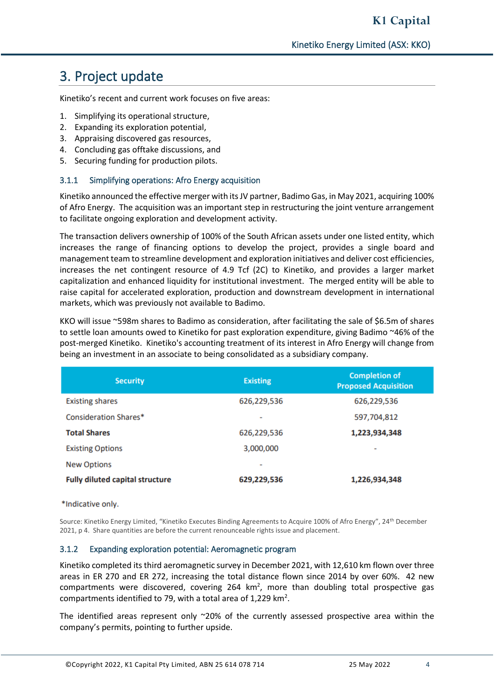# 3. Project update

Kinetiko's recent and current work focuses on five areas:

- 1. Simplifying its operational structure,
- 2. Expanding its exploration potential,
- 3. Appraising discovered gas resources,
- 4. Concluding gas offtake discussions, and
- 5. Securing funding for production pilots.

#### 3.1.1 Simplifying operations: Afro Energy acquisition

Kinetiko announced the effective merger with its JV partner, Badimo Gas, in May 2021, acquiring 100% of Afro Energy. The acquisition was an important step in restructuring the joint venture arrangement to facilitate ongoing exploration and development activity.

The transaction delivers ownership of 100% of the South African assets under one listed entity, which increases the range of financing options to develop the project, provides a single board and management team to streamline development and exploration initiatives and deliver cost efficiencies, increases the net contingent resource of 4.9 Tcf (2C) to Kinetiko, and provides a larger market capitalization and enhanced liquidity for institutional investment. The merged entity will be able to raise capital for accelerated exploration, production and downstream development in international markets, which was previously not available to Badimo.

KKO will issue ~598m shares to Badimo as consideration, after facilitating the sale of \$6.5m of shares to settle loan amounts owed to Kinetiko for past exploration expenditure, giving Badimo ~46% of the post-merged Kinetiko. Kinetiko's accounting treatment of its interest in Afro Energy will change from being an investment in an associate to being consolidated as a subsidiary company.

| <b>Security</b>                        | <b>Existing</b> | <b>Completion of</b><br><b>Proposed Acquisition</b> |
|----------------------------------------|-----------------|-----------------------------------------------------|
| <b>Existing shares</b>                 | 626,229,536     | 626,229,536                                         |
| <b>Consideration Shares*</b>           | ۰               | 597,704,812                                         |
| <b>Total Shares</b>                    | 626,229,536     | 1,223,934,348                                       |
| <b>Existing Options</b>                | 3,000,000       | ٠                                                   |
| <b>New Options</b>                     | ۰               |                                                     |
| <b>Fully diluted capital structure</b> | 629,229,536     | 1,226,934,348                                       |

\*Indicative only.

Source: Kinetiko Energy Limited, "Kinetiko Executes Binding Agreements to Acquire 100% of Afro Energy", 24th December 2021, p 4. Share quantities are before the current renounceable rights issue and placement.

#### 3.1.2 Expanding exploration potential: Aeromagnetic program

Kinetiko completed its third aeromagnetic survey in December 2021, with 12,610 km flown over three areas in ER 270 and ER 272, increasing the total distance flown since 2014 by over 60%. 42 new compartments were discovered, covering  $264 \text{ km}^2$ , more than doubling total prospective gas compartments identified to 79, with a total area of 1,229  $km^2$ .

The identified areas represent only  $\sim$ 20% of the currently assessed prospective area within the company's permits, pointing to further upside.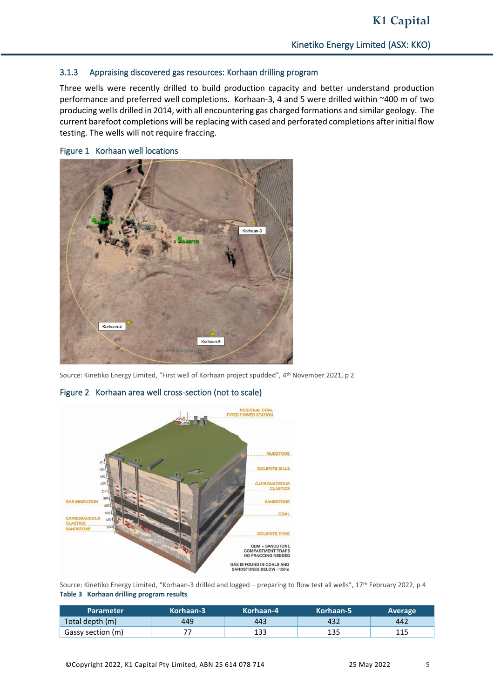#### 3.1.3 Appraising discovered gas resources: Korhaan drilling program

Three wells were recently drilled to build production capacity and better understand production performance and preferred well completions. Korhaan-3, 4 and 5 were drilled within ~400 m of two producing wells drilled in 2014, with all encountering gas charged formations and similar geology. The current barefoot completions will be replacing with cased and perforated completions after initial flow testing. The wells will not require fraccing.



#### Figure 1 Korhaan well locations

Source: Kinetiko Energy Limited, "First well of Korhaan project spudded", 4 th November 2021, p 2



#### Figure 2 Korhaan area well cross-section (not to scale)

Source: Kinetiko Energy Limited, "Korhaan-3 drilled and logged – preparing to flow test all wells", 17th February 2022, p 4 **Table 3 Korhaan drilling program results**

| <b>Parameter</b>  | Korhaan-3 | Korhaan-4 | Korhaan-5 | Average |
|-------------------|-----------|-----------|-----------|---------|
| Total depth (m)   | 449       | 443       | 432       | 442     |
| Gassy section (m) |           | 133       | 135       | 115     |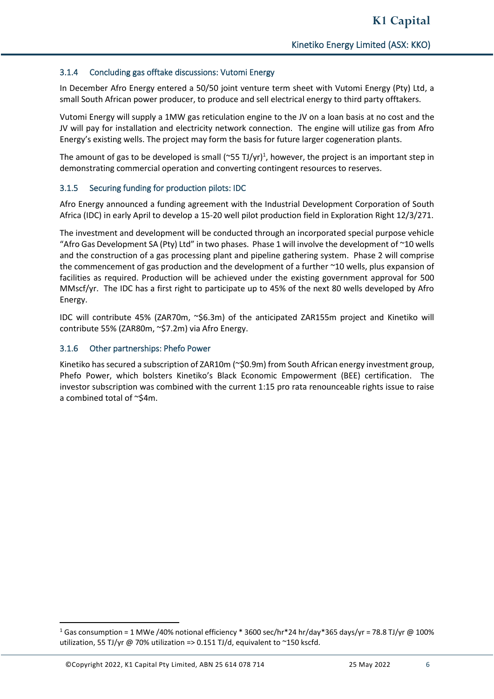#### 3.1.4 Concluding gas offtake discussions: Vutomi Energy

In December Afro Energy entered a 50/50 joint venture term sheet with Vutomi Energy (Pty) Ltd, a small South African power producer, to produce and sell electrical energy to third party offtakers.

Vutomi Energy will supply a 1MW gas reticulation engine to the JV on a loan basis at no cost and the JV will pay for installation and electricity network connection. The engine will utilize gas from Afro Energy's existing wells. The project may form the basis for future larger cogeneration plants.

The amount of gas to be developed is small (~55 TJ/yr)<sup>1</sup>, however, the project is an important step in demonstrating commercial operation and converting contingent resources to reserves.

#### 3.1.5 Securing funding for production pilots: IDC

Afro Energy announced a funding agreement with the Industrial Development Corporation of South Africa (IDC) in early April to develop a 15-20 well pilot production field in Exploration Right 12/3/271.

The investment and development will be conducted through an incorporated special purpose vehicle "Afro Gas Development SA (Pty) Ltd" in two phases. Phase 1 will involve the development of  $\sim$ 10 wells and the construction of a gas processing plant and pipeline gathering system. Phase 2 will comprise the commencement of gas production and the development of a further ~10 wells, plus expansion of facilities as required. Production will be achieved under the existing government approval for 500 MMscf/yr. The IDC has a first right to participate up to 45% of the next 80 wells developed by Afro Energy.

IDC will contribute 45% (ZAR70m, ~\$6.3m) of the anticipated ZAR155m project and Kinetiko will contribute 55% (ZAR80m, ~\$7.2m) via Afro Energy.

#### 3.1.6 Other partnerships: Phefo Power

Kinetiko has secured a subscription of ZAR10m (~\$0.9m) from South African energy investment group, Phefo Power, which bolsters Kinetiko's Black Economic Empowerment (BEE) certification. The investor subscription was combined with the current 1:15 pro rata renounceable rights issue to raise a combined total of ~\$4m.

 $1$  Gas consumption = 1 MWe /40% notional efficiency \* 3600 sec/hr\*24 hr/day\*365 days/yr = 78.8 TJ/yr @ 100% utilization, 55 TJ/yr @ 70% utilization => 0.151 TJ/d, equivalent to ~150 kscfd.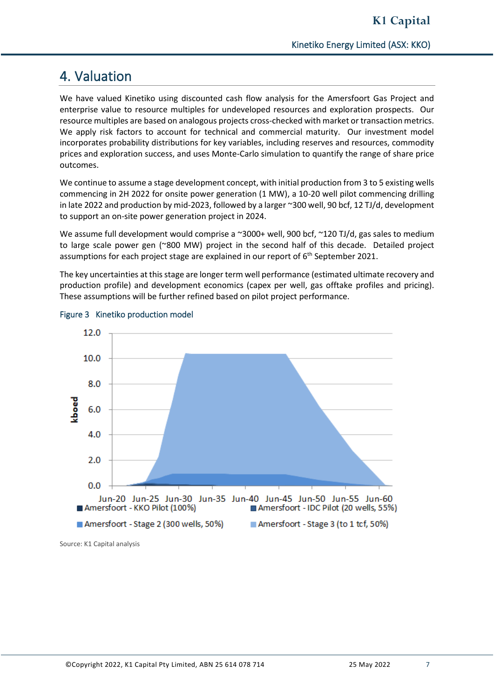## 4. Valuation

We have valued Kinetiko using discounted cash flow analysis for the Amersfoort Gas Project and enterprise value to resource multiples for undeveloped resources and exploration prospects. Our resource multiples are based on analogous projects cross-checked with market or transaction metrics. We apply risk factors to account for technical and commercial maturity. Our investment model incorporates probability distributions for key variables, including reserves and resources, commodity prices and exploration success, and uses Monte-Carlo simulation to quantify the range of share price outcomes.

We continue to assume a stage development concept, with initial production from 3 to 5 existing wells commencing in 2H 2022 for onsite power generation (1 MW), a 10-20 well pilot commencing drilling in late 2022 and production by mid-2023, followed by a larger ~300 well, 90 bcf, 12 TJ/d, development to support an on-site power generation project in 2024.

We assume full development would comprise a ~3000+ well, 900 bcf, ~120 TJ/d, gas sales to medium to large scale power gen (~800 MW) project in the second half of this decade. Detailed project assumptions for each project stage are explained in our report of 6<sup>th</sup> September 2021.

The key uncertainties at this stage are longer term well performance (estimated ultimate recovery and production profile) and development economics (capex per well, gas offtake profiles and pricing). These assumptions will be further refined based on pilot project performance.



#### Figure 3 Kinetiko production model

Source: K1 Capital analysis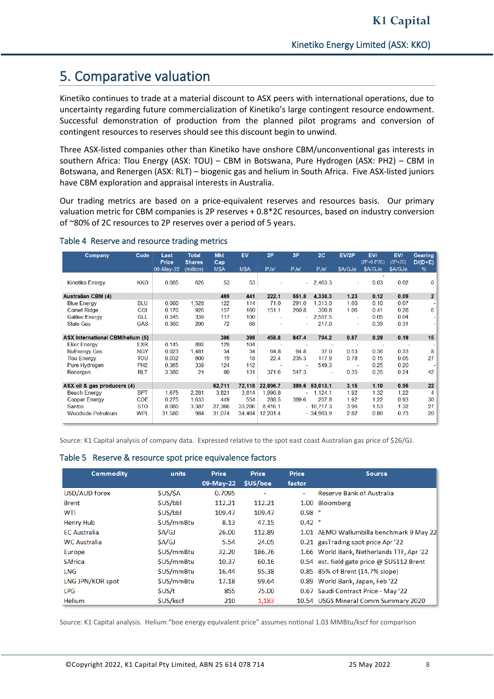# 5. Comparative valuation

Kinetiko continues to trade at a material discount to ASX peers with international operations, due to uncertainty regarding future commercialization of Kinetiko's large contingent resource endowment. Successful demonstration of production from the planned pilot programs and conversion of contingent resources to reserves should see this discount begin to unwind.

Three ASX-listed companies other than Kinetiko have onshore CBM/unconventional gas interests in southern Africa: Tlou Energy (ASX: TOU) – CBM in Botswana, Pure Hydrogen (ASX: PH2) – CBM in Botswana, and Renergen (ASX: RLT) – biogenic gas and helium in South Africa. Five ASX-listed juniors have CBM exploration and appraisal interests in Australia.

Our trading metrics are based on a price-equivalent reserves and resources basis. Our primary valuation metric for CBM companies is 2P reserves + 0.8\*2C resources, based on industry conversion of ~80% of 2C resources to 2P reserves over a period of 5 years.

| Company                                 | Code            | Last<br><b>Price</b> | <b>Total</b><br><b>Shares</b> | <b>Mkt</b><br>Cap | EV     | 2P       | 3P                       | 2C          | EV/2P                    | EV/<br>$(2P+0.8*2C)$ | EV/<br>$(3P+2C)$ | <b>Gearing</b><br>$D/(D+E)$ |
|-----------------------------------------|-----------------|----------------------|-------------------------------|-------------------|--------|----------|--------------------------|-------------|--------------------------|----------------------|------------------|-----------------------------|
|                                         |                 | 09-May-22            | (million)                     | M\$A              | M\$A   | PJe'     | PJe'                     | PJe'        | \$A/GJe                  | \$A/GJe              | \$A/GJe          | $\%$                        |
|                                         |                 |                      |                               |                   |        |          |                          |             |                          |                      |                  |                             |
| <b>Kinetiko Energy</b>                  | <b>KKO</b>      | 0.085                | 626                           | 53                | 53     |          |                          | $-2,463.3$  | ٠                        | 0.03                 | 0.02             | $\bf{0}$                    |
| <b>Australian CBM (4)</b>               |                 |                      |                               | 469               | 441    | 222.1    | 551.8                    | 4,338.3     | 1.23                     | 0.12                 | 0.09             | $\mathbf{2}$                |
| <b>Blue Energy</b>                      | <b>BLU</b>      | 0.080                | 1,528                         | 122               | 114    | 71.0     | 291.0                    | 1.313.0     | 1.60                     | 0.10                 | 0.07             | $\overline{\phantom{a}}$    |
| <b>Comet Ridge</b>                      | COI             | 0.170                | 926                           | 157               | 160    | 151.1    | 260.8                    | 300.8       | 1.06                     | 041                  | 0.28             | 6                           |
| <b>Galilee Energy</b>                   | <b>GLL</b>      | 0.345                | 339                           | 117               | 100    |          |                          | 2.507.5     | ٠                        | 0.05                 | 0.04             | $\sim$                      |
| <b>State Gas</b>                        | <b>GAS</b>      | 0.360                | 200                           | 72                | 68     |          | $\overline{\phantom{a}}$ | 217.0       | ٠                        | 0.39                 | 0.31             | $\blacksquare$              |
|                                         |                 |                      |                               |                   |        |          |                          |             |                          |                      |                  |                             |
| <b>ASX International CBM/helium (5)</b> |                 |                      |                               | 386               | 398    | 458.8    | 847.4                    | 704.2       | 0.87                     | 0.29                 | 0.19             | 15                          |
| <b>Elixir Energy</b>                    | EXR             | 0.145                | 892                           | 129               | 104    |          |                          |             |                          |                      |                  |                             |
| <b>NuEnergy Gas</b>                     | <b>NGY</b>      | 0.023                | 1,481                         | 34                | 34     | 64.8     | 64.8                     | 37.0        | 0.53                     | 0.36                 | 0.33             | 8                           |
| <b>Tlou Energy</b>                      | TOU             | 0.032                | 600                           | 19                | 18     | 22.4     | 235.3                    | 117.9       | 0.78                     | 0.15                 | 0.05             | 27                          |
| Pure Hydrogen                           | PH <sub>2</sub> | 0.365                | 339                           | 124               | 112    |          |                          | 549.3       | $\overline{\phantom{a}}$ | 0.25                 | 0.20             |                             |
| Renergen                                | <b>RLT</b>      | 3.380                | 24                            | 80                | 131    | 371.6    | 547.3                    |             | 0.35                     | 0.35                 | 0.24             | 42                          |
|                                         |                 |                      |                               |                   |        |          |                          |             |                          |                      |                  |                             |
| ASX oil & gas producers (4)             |                 |                      |                               | 62.711            | 72,118 | 22.896.7 | 389.6                    | 53,013.1    | 3.15                     | 1.10                 | 0.95             | 22                          |
| <b>Beach Energy</b>                     | <b>BPT</b>      | 1.675                | 2.281                         | 3,821             | 3,814  | 1,990.8  | ÷                        | 1,124.1     | 1.92                     | 1.32                 | 1.22             | 4                           |
| <b>Cooper Energy</b>                    | <b>COE</b>      | 0.275                | 1,633                         | 449               | 554    | 288.5    | 389.6                    | 207.8       | 1.92                     | 1.22                 | 0.93             | 30                          |
| <b>Santos</b>                           | <b>STO</b>      | 8.080                | 3.387                         | 27,366            | 33,286 | 8,416.1  |                          | $-16.717.3$ | 3.96                     | 1.53                 | 1.32             | 27                          |
| <b>Woodside Petroleum</b>               | <b>WPL</b>      | 31.580               | 984                           | 31,074            | 34,464 | 12,201.4 |                          | $-34,963.9$ | 2.82                     | 0.86                 | 0.73             | 20                          |
|                                         |                 |                      |                               |                   |        |          |                          |             |                          |                      |                  |                             |

#### Table 4 Reserve and resource trading metrics

Source: K1 Capital analysis of company data. Expressed relative to the spot east coast Australian gas price of \$26/GJ.

#### Table 5 Reserve & resource spot price equivalence factors

| Commodity               | units            | Price     | Price          | Price    | <b>Source</b>                              |
|-------------------------|------------------|-----------|----------------|----------|--------------------------------------------|
|                         |                  | 09-May-22 | <b>SUS/boe</b> | factor   |                                            |
| USD/AUD forex           | <b>SUS/SA</b>    | 0.7095    | ٠              | ۰        | <b>Reserve Bank of Australia</b>           |
| <b>Brent</b>            | <b>SUS/bbl</b>   | 112.21    | 112.21         |          | 1.00 Bloomberg                             |
| WTI                     | <b>SUS/bbl</b>   | 109.47    | 109.47         | $0.98$ " |                                            |
| Henry Hub               | <b>SUS/mmBtu</b> | 8.13      | 47.15          | $0.42$ " |                                            |
| <b>EC</b> Australia     | <b>SA/GJ</b>     | 26.00     | 112.89         |          | 1.01 AEMO Wallumbilla benchmark 9 May 22   |
| <b>WC Australia</b>     | <b>SA/GJ</b>     | 5.54      | 24.05          |          | 0.21 gasTrading spot price Apr '22         |
| Europe                  | <b>SUS/mmBtu</b> | 32.20     | 186.76         |          | 1.66 World Bank, Netherlands TTF, Apr '22  |
| <b>SAfrica</b>          | \$US/mmBtu       | 10.37     | 60.16          |          | 0.54 est. field gate price @ \$US112 Brent |
| LNG                     | <b>SUS/mmBtu</b> | 16.44     | 95.38          |          | 0.85 85% of Brent (14.7% slope)            |
| <b>LNG JPN/KOR spot</b> | <b>SUS/mmBtu</b> | 17.18     | 99.64          |          | 0.89 World Bank, Japan, Feb '22            |
| <b>LPG</b>              | <b>SUS/t</b>     | 855       | 75.00          |          | 0.67 Saudi Contract Price - May '22        |
| <b>Helium</b>           | <b>SUS/kscf</b>  | 210       | 1,183          |          | 10.54 USGS Mineral Comm Summary 2020       |

Source: K1 Capital analysis. Helium "boe energy equivalent price" assumes notional 1.03 MMBtu/kscf for comparison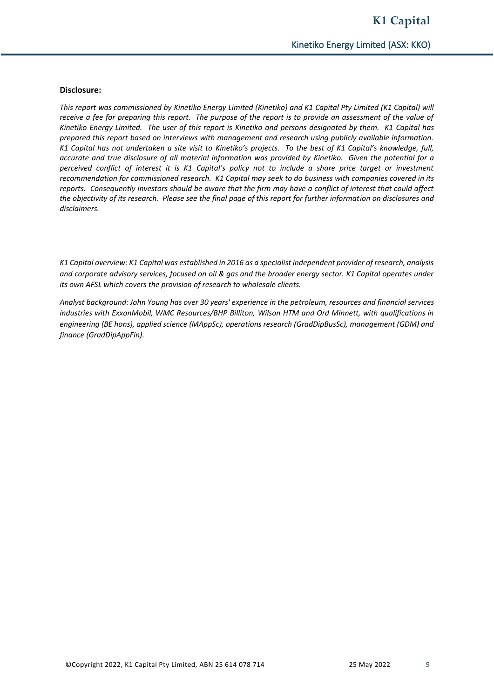#### **Disclosure:**

*This report was commissioned by Kinetiko Energy Limited (Kinetiko) and K1 Capital Pty Limited (K1 Capital) will receive a fee for preparing this report. The purpose of the report is to provide an assessment of the value of Kinetiko Energy Limited. The user of this report is Kinetiko and persons designated by them. K1 Capital has prepared this report based on interviews with management and research using publicly available information. K1 Capital has not undertaken a site visit to Kinetiko's projects. To the best of K1 Capital's knowledge, full, accurate and true disclosure of all material information was provided by Kinetiko. Given the potential for a perceived conflict of interest it is K1 Capital's policy not to include a share price target or investment recommendation for commissioned research. K1 Capital may seek to do business with companies covered in its reports. Consequently investors should be aware that the firm may have a conflict of interest that could affect the objectivity of its research. Please see the final page of this report for further information on disclosures and disclaimers.*

*K1 Capital overview: K1 Capital was established in 2016 as a specialist independent provider of research, analysis and corporate advisory services, focused on oil & gas and the broader energy sector. K1 Capital operates under its own AFSL which covers the provision of research to wholesale clients.*

*Analyst background: John Young has over 30 years' experience in the petroleum, resources and financial services industries with ExxonMobil, WMC Resources/BHP Billiton, Wilson HTM and Ord Minnett, with qualifications in engineering (BE hons), applied science (MAppSc), operations research (GradDipBusSc), management (GDM) and finance (GradDipAppFin).*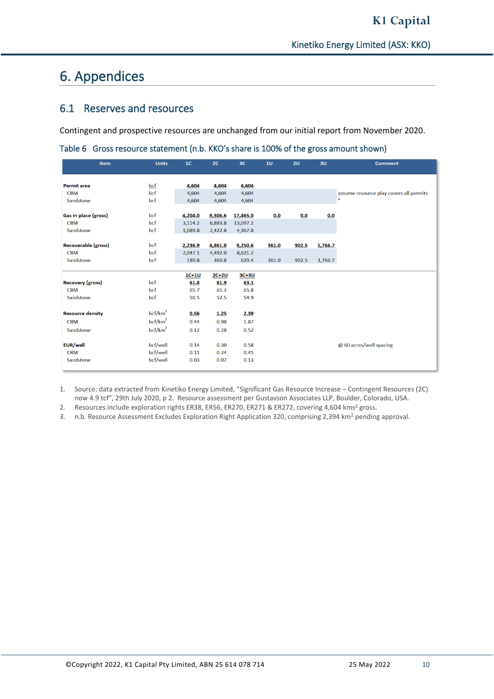# 6. Appendices

### 6.1 Reserves and resources

Contingent and prospective resources are unchanged from our initial report from November 2020.

| <b>Item</b>             | <b>Units</b>        | 1 <sub>C</sub> | 2C      | 3C       | 10    | 2U    | 3U      | <b>Comment</b>                          |
|-------------------------|---------------------|----------------|---------|----------|-------|-------|---------|-----------------------------------------|
|                         |                     |                |         |          |       |       |         |                                         |
| <b>Permit area</b>      | <u>bcf</u>          | 4,604          | 4,604   | 4,604    |       |       |         |                                         |
| <b>CBM</b>              | bcf                 | 4,604          | 4,604   | 4,604    |       |       |         | assume resource play covers all permits |
| Sandstone               | bcf                 | 4,604          | 4,604   | 4,604    |       |       |         | $\mathbf{u}$                            |
|                         |                     |                |         |          |       |       |         |                                         |
| Gas in place (gross)    | bcf                 | 4,204.0        | 9,306.6 | 17,465.0 | 0.0   | 0.0   | 0.0     |                                         |
| <b>CBM</b>              | bcf                 | 3,114.2        | 6,883.8 | 13,097.2 |       |       |         |                                         |
| Sandstone               | bcf                 | 1,089.8        | 2,422.8 | 4,367.8  |       |       |         |                                         |
|                         |                     |                |         |          |       |       |         |                                         |
| Recoverable (gross)     | bcf                 | 2,236.9        | 4,861.8 | 9,250.6  | 361.0 | 902.5 | 1,766.7 |                                         |
| <b>CBM</b>              | bcf                 | 2,047.1        | 4,492.0 | 8,621.2  |       |       |         |                                         |
| Sandstone               | bcf                 | 189.8          | 369.8   | 629.4    | 361.0 | 902.5 | 1,766.7 |                                         |
|                         |                     |                |         |          |       |       |         |                                         |
|                         |                     | $1C+1U$        | $2C+2U$ | $3C+3U$  |       |       |         |                                         |
| <b>Recovery (gross)</b> | bcf                 | 61.8           | 61.9    | 63.1     |       |       |         |                                         |
| <b>CBM</b>              | bcf                 | 65.7           | 65.3    | 65.8     |       |       |         |                                         |
| Sandstone               | bcf                 | 50.5           | 52.5    | 54.9     |       |       |         |                                         |
|                         |                     |                |         |          |       |       |         |                                         |
| <b>Resource density</b> | bcf/km <sup>2</sup> | 0.56           | 1.25    | 2.39     |       |       |         |                                         |
| <b>CBM</b>              | bcf/km <sup>2</sup> | 0.44           | 0.98    | 1.87     |       |       |         |                                         |
| Sandstone               | bcf/km <sup>2</sup> | 0.12           | 0.28    | 0.52     |       |       |         |                                         |
|                         |                     |                |         |          |       |       |         |                                         |
| <b>EUR/well</b>         | bcf/well            | 0.14           | 0.30    | 0.58     |       |       |         | @ 60 acres/well spacing                 |
| <b>CBM</b>              | bcf/well            | 0.11           | 0.24    | 0.45     |       |       |         |                                         |
| Sandstone               | bcf/well            | 0.03           | 0.07    | 0.13     |       |       |         |                                         |
|                         |                     |                |         |          |       |       |         |                                         |

Table 6 Gross resource statement (n.b. KKO's share is 100% of the gross amount shown)

1. Source: data extracted from Kinetiko Energy Limited, "Significant Gas Resource Increase – Contingent Resources (2C) now 4.9 tcf", 29th July 2020, p 2. Resource assessment per Gustavson Associates LLP, Boulder, Colorado, USA.

2. Resources include exploration rights ER38, ER56, ER270, ER271 & ER272, covering 4,604 kms<sup>2</sup> gross.

3. n.b. Resource Assessment Excludes Exploration Right Application 320, comprising 2,394 km<sup>2</sup> pending approval.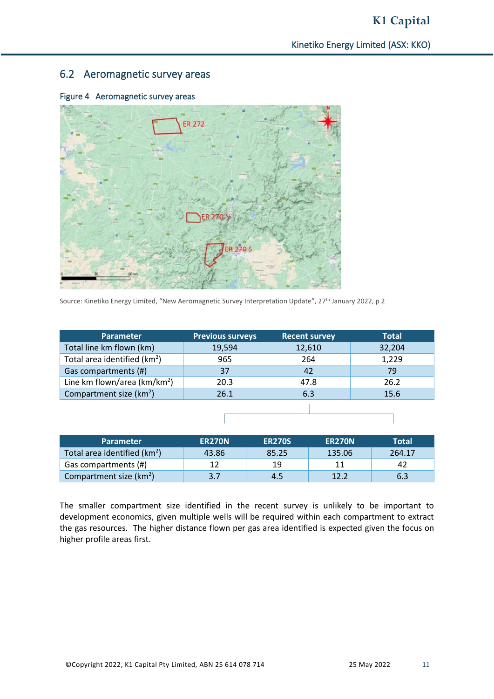### 6.2 Aeromagnetic survey areas



Figure 4 Aeromagnetic survey areas

Source: Kinetiko Energy Limited, "New Aeromagnetic Survey Interpretation Update", 27th January 2022, p 2

| Parameter                                | <b>Previous surveys</b> | <b>Recent survey</b> | <b>Total</b> |
|------------------------------------------|-------------------------|----------------------|--------------|
| Total line km flown (km)                 | 19,594                  | 12,610               | 32,204       |
| Total area identified (km <sup>2</sup> ) | 965                     | 264                  | 1,229        |
| Gas compartments (#)                     | 37                      | 42                   | 79           |
| Line km flown/area ( $km/km^2$ )         | 20.3                    | 47.8                 | 26.2         |
| Compartment size (km <sup>2</sup> )      | 26.1                    | 6.3                  | 15.6         |
|                                          |                         |                      |              |

| <b>Parameter</b>                         | <b>ER270N</b> | <b>ER270S</b> | <b>ER270N</b> | Total  |
|------------------------------------------|---------------|---------------|---------------|--------|
| Total area identified (km <sup>2</sup> ) | 43.86         | 85.25         | 135.06        | 264.17 |
| Gas compartments (#)                     |               | 19            | 11            | 42     |
| Compartment size (km <sup>2</sup> )      | 3.7           | 4.5           | 12.2          | 6.3    |

The smaller compartment size identified in the recent survey is unlikely to be important to development economics, given multiple wells will be required within each compartment to extract the gas resources. The higher distance flown per gas area identified is expected given the focus on higher profile areas first.